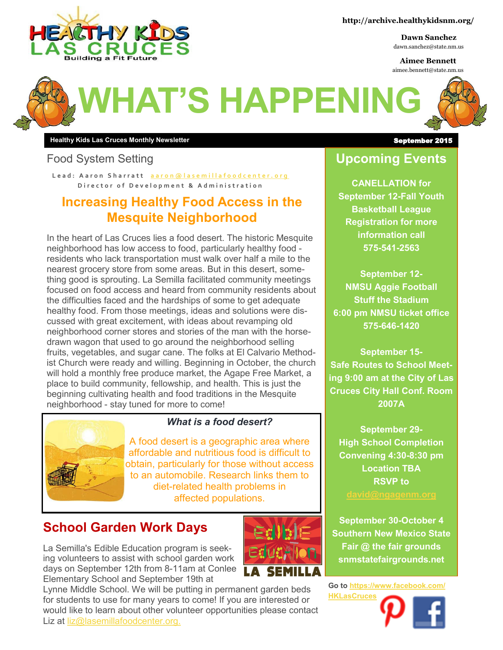

#### **http://archive.healthykidsnm.org/**

**Dawn Sanchez** dawn.sanchez@state.nm.us

**Aimee Bennett** aimee.bennett@state.nm.us



## **WHAT'S HAPPENING**

**Healthy Kids Las Cruces Monthly Newsletter** September 2015

#### Food System Setting

Lead: A a r on Sh a r r a t t a a r on @ l a s e m ill a f o o d c e n t e r . o r g **Director of Development & Administration** 

#### **Increasing Healthy Food Access in the Mesquite Neighborhood**

In the heart of Las Cruces lies a food desert. The historic Mesquite neighborhood has low access to food, particularly healthy food residents who lack transportation must walk over half a mile to the nearest grocery store from some areas. But in this desert, something good is sprouting. La Semilla facilitated community meetings focused on food access and heard from community residents about the difficulties faced and the hardships of some to get adequate healthy food. From those meetings, ideas and solutions were discussed with great excitement, with ideas about revamping old neighborhood corner stores and stories of the man with the horsedrawn wagon that used to go around the neighborhood selling fruits, vegetables, and sugar cane. The folks at El Calvario Methodist Church were ready and willing. Beginning in October, the church will hold a monthly free produce market, the Agape Free Market, a place to build community, fellowship, and health. This is just the beginning cultivating health and food traditions in the Mesquite neighborhood - stay tuned for more to come!



#### *What is a food desert?*

A food desert is a geographic area where affordable and nutritious food is difficult to obtain, particularly for those without access to an automobile. Research links them to diet-related health problems in affected populations.

#### **School Garden Work Days**

La Semilla's Edible Education program is seeking volunteers to assist with school garden work days on September 12th from 8-11am at Conlee Elementary School and September 19th at



#### **Upcoming Events**

**CANELLATION for September 12-Fall Youth Basketball League Registration for more information call 575-541-2563**

**September 12- NMSU Aggie Football Stuff the Stadium 6:00 pm NMSU ticket office 575-646-1420**

**September 15- Safe Routes to School Meeting 9:00 am at the City of Las Cruces City Hall Conf. Room 2007A**

**September 29- High School Completion Convening 4:30-8:30 pm Location TBA RSVP to** 

**September 30-October 4 Southern New Mexico State Fair @ the fair grounds snmstatefairgrounds.net**

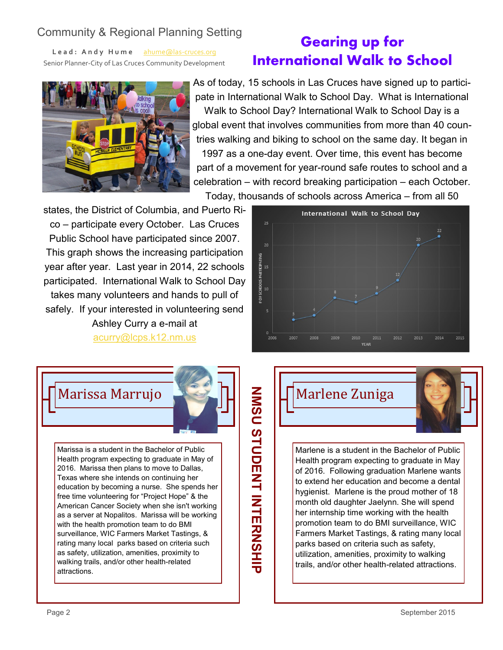#### Community & Regional Planning Setting

**L e a d : A n d y H u m e** [ahume@las](mailto:ahume@las-cruces.org)-cruces.org Senior Planner-City of Las Cruces Community Development

### **Gearing up for International Walk to School**



As of today, 15 schools in Las Cruces have signed up to participate in International Walk to School Day. What is International Walk to School Day? International Walk to School Day is a global event that involves communities from more than 40 countries walking and biking to school on the same day. It began in 1997 as a one-day event. Over time, this event has become part of a movement for year-round safe routes to school and a celebration – with record breaking participation – each October. Today, thousands of schools across America – from all 50

states, the District of Columbia, and Puerto Rico – participate every October. Las Cruces Public School have participated since 2007. This graph shows the increasing participation year after year. Last year in 2014, 22 schools participated. International Walk to School Day takes many volunteers and hands to pull of safely. If your interested in volunteering send Ashley Curry a e-mail at [acurry@lcps.k12.nm.us](mailto:acurry@lcps.k12.nm.us)



Marissa Marrujo



Marissa is a student in the Bachelor of Public Health program expecting to graduate in May of 2016. Marissa then plans to move to Dallas, Texas where she intends on continuing her education by becoming a nurse. She spends her free time volunteering for "Project Hope" & the American Cancer Society when she isn't working as a server at Nopalitos. Marissa will be working with the health promotion team to do BMI surveillance, WIC Farmers Market Tastings, & rating many local parks based on criteria such as safety, utilization, amenities, proximity to walking trails, and/or other health-related attractions.

# **NOS COLORIZH INTERNAMER** NMSU STUDENT INTERNASHIP

Marlene Zuniga

Marlene is a student in the Bachelor of Public Health program expecting to graduate in May of 2016. Following graduation Marlene wants to extend her education and become a dental hygienist. Marlene is the proud mother of 18 month old daughter Jaelynn. She will spend her internship time working with the health promotion team to do BMI surveillance, WIC Farmers Market Tastings, & rating many local

parks based on criteria such as safety, utilization, amenities, proximity to walking trails, and/or other health-related attractions.